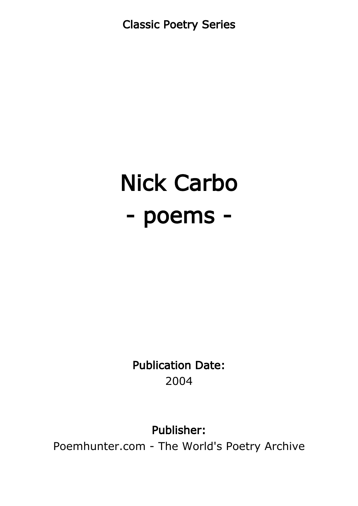Classic Poetry Series

# Nick Carbo - poems -

Publication Date: 2004

Publisher:

Poemhunter.com - The World's Poetry Archive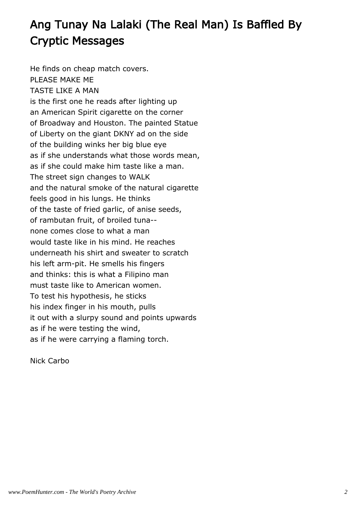# Ang Tunay Na Lalaki (The Real Man) Is Baffled By Cryptic Messages

He finds on cheap match covers. PLEASE MAKE ME TASTE LIKE A MAN is the first one he reads after lighting up an American Spirit cigarette on the corner of Broadway and Houston. The painted Statue of Liberty on the giant DKNY ad on the side of the building winks her big blue eye as if she understands what those words mean, as if she could make him taste like a man. The street sign changes to WALK and the natural smoke of the natural cigarette feels good in his lungs. He thinks of the taste of fried garlic, of anise seeds, of rambutan fruit, of broiled tuna- none comes close to what a man would taste like in his mind. He reaches underneath his shirt and sweater to scratch his left arm-pit. He smells his fingers and thinks: this is what a Filipino man must taste like to American women. To test his hypothesis, he sticks his index finger in his mouth, pulls it out with a slurpy sound and points upwards as if he were testing the wind, as if he were carrying a flaming torch.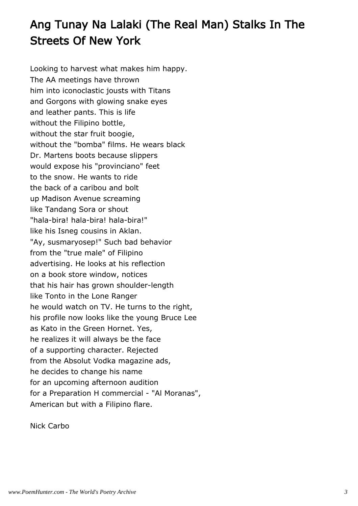# Ang Tunay Na Lalaki (The Real Man) Stalks In The Streets Of New York

Looking to harvest what makes him happy. The AA meetings have thrown him into iconoclastic jousts with Titans and Gorgons with glowing snake eyes and leather pants. This is life without the Filipino bottle, without the star fruit boogie, without the "bomba" films. He wears black Dr. Martens boots because slippers would expose his "provinciano" feet to the snow. He wants to ride the back of a caribou and bolt up Madison Avenue screaming like Tandang Sora or shout "hala-bira! hala-bira! hala-bira!" like his Isneg cousins in Aklan. "Ay, susmaryosep!" Such bad behavior from the "true male" of Filipino advertising. He looks at his reflection on a book store window, notices that his hair has grown shoulder-length like Tonto in the Lone Ranger he would watch on TV. He turns to the right, his profile now looks like the young Bruce Lee as Kato in the Green Hornet. Yes, he realizes it will always be the face of a supporting character. Rejected from the Absolut Vodka magazine ads, he decides to change his name for an upcoming afternoon audition for a Preparation H commercial - "Al Moranas", American but with a Filipino flare.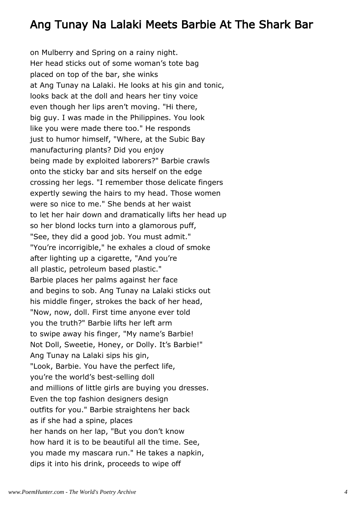#### Ang Tunay Na Lalaki Meets Barbie At The Shark Bar

on Mulberry and Spring on a rainy night. Her head sticks out of some woman's tote bag placed on top of the bar, she winks at Ang Tunay na Lalaki. He looks at his gin and tonic, looks back at the doll and hears her tiny voice even though her lips aren't moving. "Hi there, big guy. I was made in the Philippines. You look like you were made there too." He responds just to humor himself, "Where, at the Subic Bay manufacturing plants? Did you enjoy being made by exploited laborers?" Barbie crawls onto the sticky bar and sits herself on the edge crossing her legs. "I remember those delicate fingers expertly sewing the hairs to my head. Those women were so nice to me." She bends at her waist to let her hair down and dramatically lifts her head up so her blond locks turn into a glamorous puff, "See, they did a good job. You must admit." "You're incorrigible," he exhales a cloud of smoke after lighting up a cigarette, "And you're all plastic, petroleum based plastic." Barbie places her palms against her face and begins to sob. Ang Tunay na Lalaki sticks out his middle finger, strokes the back of her head, "Now, now, doll. First time anyone ever told you the truth?" Barbie lifts her left arm to swipe away his finger, "My name's Barbie! Not Doll, Sweetie, Honey, or Dolly. It's Barbie!" Ang Tunay na Lalaki sips his gin, "Look, Barbie. You have the perfect life, you're the world's best-selling doll and millions of little girls are buying you dresses. Even the top fashion designers design outfits for you." Barbie straightens her back as if she had a spine, places her hands on her lap, "But you don't know how hard it is to be beautiful all the time. See, you made my mascara run." He takes a napkin, dips it into his drink, proceeds to wipe off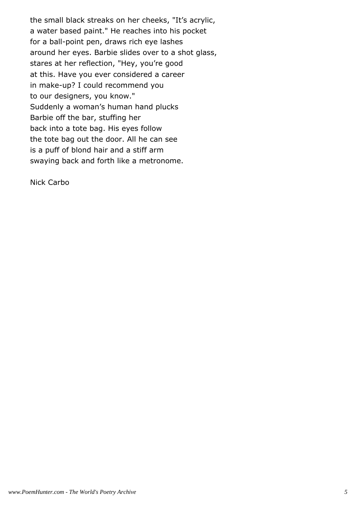the small black streaks on her cheeks, "It's acrylic, a water based paint." He reaches into his pocket for a ball-point pen, draws rich eye lashes around her eyes. Barbie slides over to a shot glass, stares at her reflection, "Hey, you're good at this. Have you ever considered a career in make-up? I could recommend you to our designers, you know." Suddenly a woman's human hand plucks Barbie off the bar, stuffing her back into a tote bag. His eyes follow the tote bag out the door. All he can see is a puff of blond hair and a stiff arm swaying back and forth like a metronome.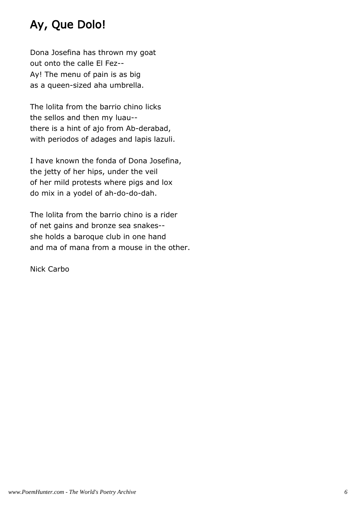## Ay, Que Dolo!

Dona Josefina has thrown my goat out onto the calle El Fez-- Ay! The menu of pain is as big as a queen-sized aha umbrella.

The lolita from the barrio chino licks the sellos and then my luau- there is a hint of ajo from Ab-derabad, with periodos of adages and lapis lazuli.

I have known the fonda of Dona Josefina, the jetty of her hips, under the veil of her mild protests where pigs and lox do mix in a yodel of ah-do-do-dah.

The lolita from the barrio chino is a rider of net gains and bronze sea snakes- she holds a baroque club in one hand and ma of mana from a mouse in the other.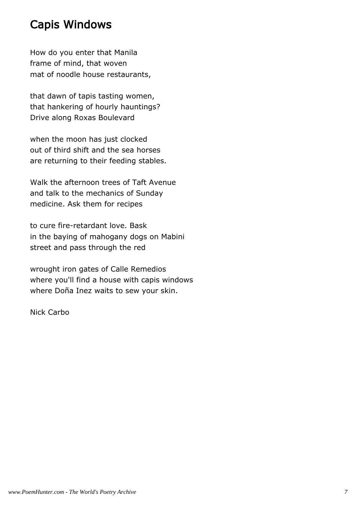#### Capis Windows

How do you enter that Manila frame of mind, that woven mat of noodle house restaurants,

that dawn of tapis tasting women, that hankering of hourly hauntings? Drive along Roxas Boulevard

when the moon has just clocked out of third shift and the sea horses are returning to their feeding stables.

Walk the afternoon trees of Taft Avenue and talk to the mechanics of Sunday medicine. Ask them for recipes

to cure fire-retardant love. Bask in the baying of mahogany dogs on Mabini street and pass through the red

wrought iron gates of Calle Remedios where you'll find a house with capis windows where Doña Inez waits to sew your skin.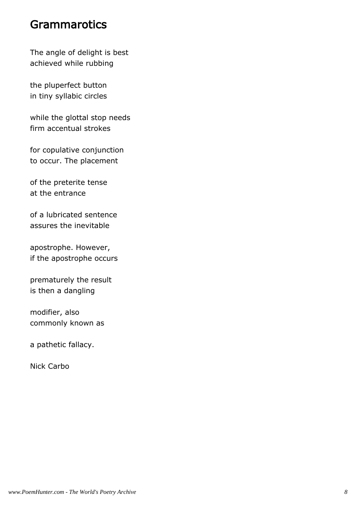#### **Grammarotics**

The angle of delight is best achieved while rubbing

the pluperfect button in tiny syllabic circles

while the glottal stop needs firm accentual strokes

for copulative conjunction to occur. The placement

of the preterite tense at the entrance

of a lubricated sentence assures the inevitable

apostrophe. However, if the apostrophe occurs

prematurely the result is then a dangling

modifier, also commonly known as

a pathetic fallacy.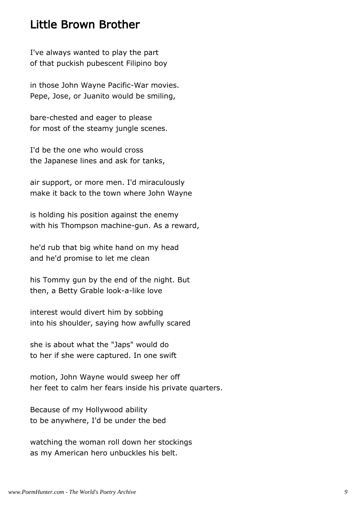#### Little Brown Brother

I've always wanted to play the part of that puckish pubescent Filipino boy

in those John Wayne Pacific-War movies. Pepe, Jose, or Juanito would be smiling,

bare-chested and eager to please for most of the steamy jungle scenes.

I'd be the one who would cross the Japanese lines and ask for tanks,

air support, or more men. I'd miraculously make it back to the town where John Wayne

is holding his position against the enemy with his Thompson machine-gun. As a reward,

he'd rub that big white hand on my head and he'd promise to let me clean

his Tommy gun by the end of the night. But then, a Betty Grable look-a-like love

interest would divert him by sobbing into his shoulder, saying how awfully scared

she is about what the "Japs" would do to her if she were captured. In one swift

motion, John Wayne would sweep her off her feet to calm her fears inside his private quarters.

Because of my Hollywood ability to be anywhere, I'd be under the bed

watching the woman roll down her stockings as my American hero unbuckles his belt.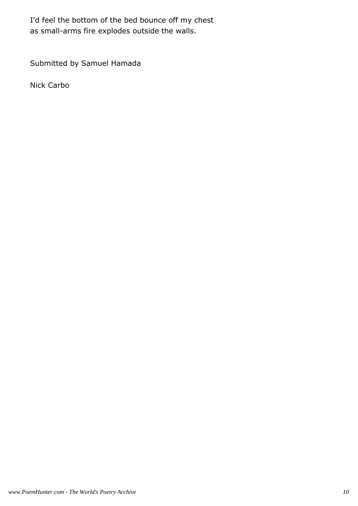I'd feel the bottom of the bed bounce off my chest as small-arms fire explodes outside the walls.

Submitted by Samuel Hamada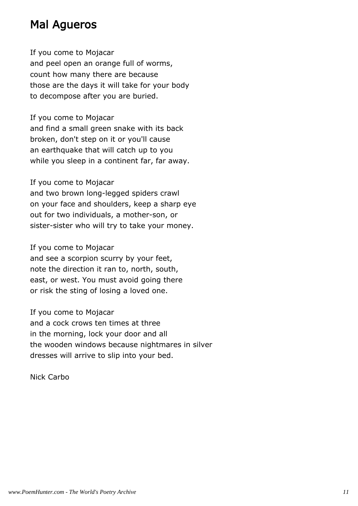## Mal Agueros

If you come to Mojacar and peel open an orange full of worms, count how many there are because those are the days it will take for your body to decompose after you are buried.

If you come to Mojacar and find a small green snake with its back broken, don't step on it or you'll cause an earthquake that will catch up to you while you sleep in a continent far, far away.

If you come to Mojacar

and two brown long-legged spiders crawl on your face and shoulders, keep a sharp eye out for two individuals, a mother-son, or sister-sister who will try to take your money.

If you come to Mojacar

and see a scorpion scurry by your feet, note the direction it ran to, north, south, east, or west. You must avoid going there or risk the sting of losing a loved one.

If you come to Mojacar

and a cock crows ten times at three in the morning, lock your door and all the wooden windows because nightmares in silver dresses will arrive to slip into your bed.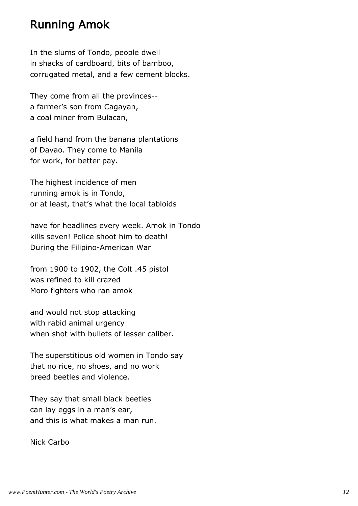#### Running Amok

In the slums of Tondo, people dwell in shacks of cardboard, bits of bamboo, corrugated metal, and a few cement blocks.

They come from all the provinces- a farmer's son from Cagayan, a coal miner from Bulacan,

a field hand from the banana plantations of Davao. They come to Manila for work, for better pay.

The highest incidence of men running amok is in Tondo, or at least, that's what the local tabloids

have for headlines every week. Amok in Tondo kills seven! Police shoot him to death! During the Filipino-American War

from 1900 to 1902, the Colt .45 pistol was refined to kill crazed Moro fighters who ran amok

and would not stop attacking with rabid animal urgency when shot with bullets of lesser caliber.

The superstitious old women in Tondo say that no rice, no shoes, and no work breed beetles and violence.

They say that small black beetles can lay eggs in a man's ear, and this is what makes a man run.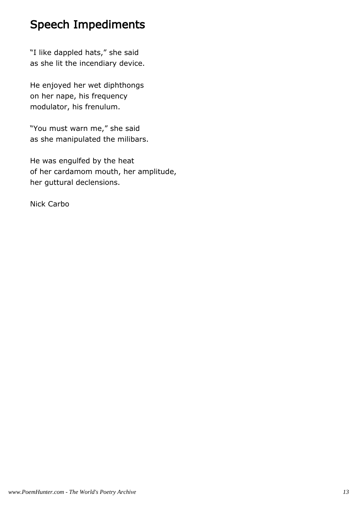## Speech Impediments

"I like dappled hats," she said as she lit the incendiary device.

He enjoyed her wet diphthongs on her nape, his frequency modulator, his frenulum.

"You must warn me," she said as she manipulated the milibars.

He was engulfed by the heat of her cardamom mouth, her amplitude, her guttural declensions.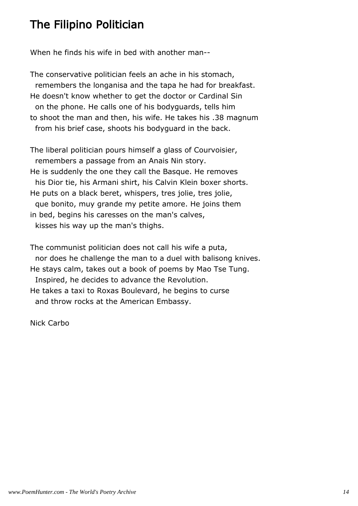## The Filipino Politician

When he finds his wife in bed with another man--

The conservative politician feels an ache in his stomach, remembers the longanisa and the tapa he had for breakfast. He doesn't know whether to get the doctor or Cardinal Sin on the phone. He calls one of his bodyguards, tells him to shoot the man and then, his wife. He takes his .38 magnum from his brief case, shoots his bodyguard in the back.

The liberal politician pours himself a glass of Courvoisier, remembers a passage from an Anais Nin story. He is suddenly the one they call the Basque. He removes his Dior tie, his Armani shirt, his Calvin Klein boxer shorts. He puts on a black beret, whispers, tres jolie, tres jolie, que bonito, muy grande my petite amore. He joins them in bed, begins his caresses on the man's calves, kisses his way up the man's thighs.

The communist politician does not call his wife a puta, nor does he challenge the man to a duel with balisong knives. He stays calm, takes out a book of poems by Mao Tse Tung. Inspired, he decides to advance the Revolution. He takes a taxi to Roxas Boulevard, he begins to curse and throw rocks at the American Embassy.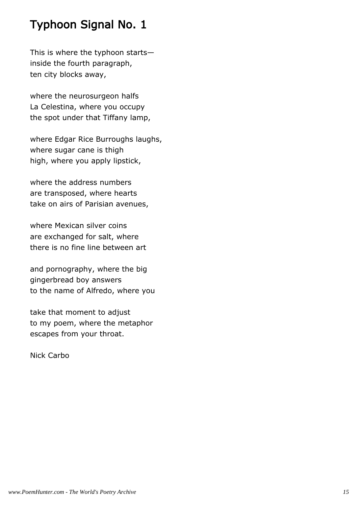## Typhoon Signal No. 1

This is where the typhoon starts inside the fourth paragraph, ten city blocks away,

where the neurosurgeon halfs La Celestina, where you occupy the spot under that Tiffany lamp,

where Edgar Rice Burroughs laughs, where sugar cane is thigh high, where you apply lipstick,

where the address numbers are transposed, where hearts take on airs of Parisian avenues,

where Mexican silver coins are exchanged for salt, where there is no fine line between art

and pornography, where the big gingerbread boy answers to the name of Alfredo, where you

take that moment to adjust to my poem, where the metaphor escapes from your throat.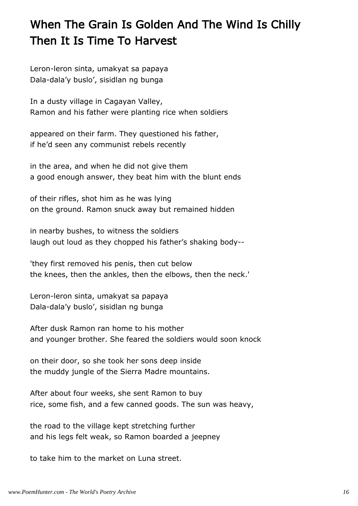# When The Grain Is Golden And The Wind Is Chilly Then It Is Time To Harvest

Leron-leron sinta, umakyat sa papaya Dala-dala'y buslo', sisidlan ng bunga

In a dusty village in Cagayan Valley, Ramon and his father were planting rice when soldiers

appeared on their farm. They questioned his father, if he'd seen any communist rebels recently

in the area, and when he did not give them a good enough answer, they beat him with the blunt ends

of their rifles, shot him as he was lying on the ground. Ramon snuck away but remained hidden

in nearby bushes, to witness the soldiers laugh out loud as they chopped his father's shaking body--

'they first removed his penis, then cut below the knees, then the ankles, then the elbows, then the neck.'

Leron-leron sinta, umakyat sa papaya Dala-dala'y buslo', sisidlan ng bunga

After dusk Ramon ran home to his mother and younger brother. She feared the soldiers would soon knock

on their door, so she took her sons deep inside the muddy jungle of the Sierra Madre mountains.

After about four weeks, she sent Ramon to buy rice, some fish, and a few canned goods. The sun was heavy,

the road to the village kept stretching further and his legs felt weak, so Ramon boarded a jeepney

to take him to the market on Luna street.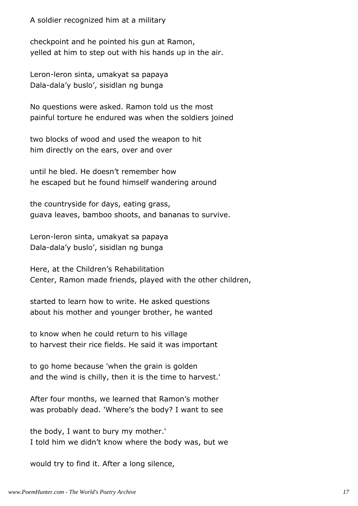A soldier recognized him at a military

checkpoint and he pointed his gun at Ramon, yelled at him to step out with his hands up in the air.

Leron-leron sinta, umakyat sa papaya Dala-dala'y buslo', sisidlan ng bunga

No questions were asked. Ramon told us the most painful torture he endured was when the soldiers joined

two blocks of wood and used the weapon to hit him directly on the ears, over and over

until he bled. He doesn't remember how he escaped but he found himself wandering around

the countryside for days, eating grass, guava leaves, bamboo shoots, and bananas to survive.

Leron-leron sinta, umakyat sa papaya Dala-dala'y buslo', sisidlan ng bunga

Here, at the Children's Rehabilitation Center, Ramon made friends, played with the other children,

started to learn how to write. He asked questions about his mother and younger brother, he wanted

to know when he could return to his village to harvest their rice fields. He said it was important

to go home because 'when the grain is golden and the wind is chilly, then it is the time to harvest.'

After four months, we learned that Ramon's mother was probably dead. 'Where's the body? I want to see

the body, I want to bury my mother.' I told him we didn't know where the body was, but we

would try to find it. After a long silence,